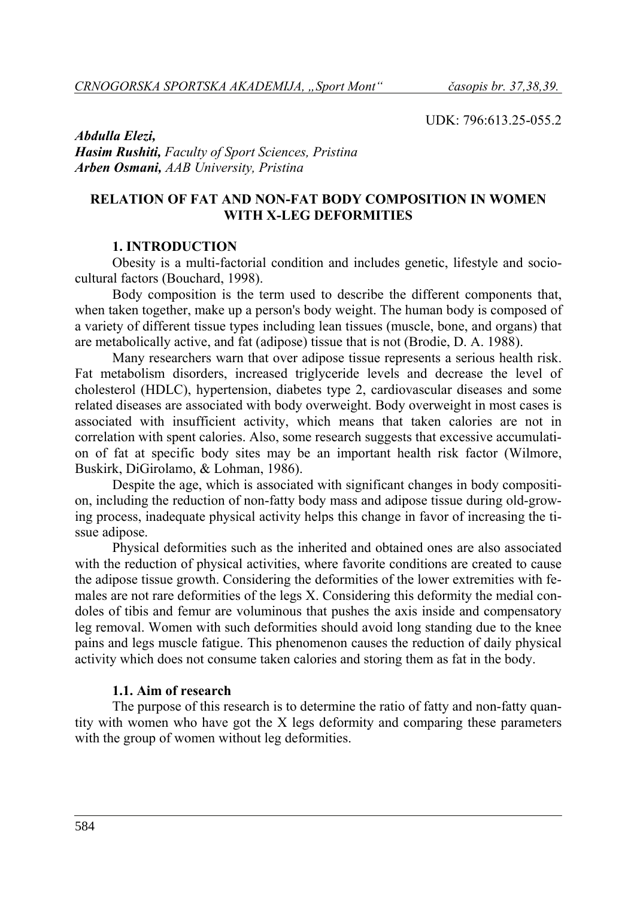UDK: 796:613.25-055.2

*Abdulla Elezi, Hasim Rushiti, Faculty of Sport Sciences, Pristina Arben Osmani, AAB University, Pristina*

### **RELATION OF FAT AND NON-FAT BODY COMPOSITION IN WOMEN WITH X-LEG DEFORMITIES**

### **1. INTRODUCTION**

Obesity is a multi-factorial condition and includes genetic, lifestyle and sociocultural factors (Bouchard, 1998).

Body composition is the term used to describe the different components that, when taken together, make up a person's body weight. The human body is composed of a variety of different tissue types including lean tissues (muscle, bone, and organs) that are metabolically active, and fat (adipose) tissue that is not (Brodie, D. A. 1988).

Many researchers warn that over adipose tissue represents a serious health risk. Fat metabolism disorders, increased triglyceride levels and decrease the level of cholesterol (HDLC), hypertension, diabetes type 2, cardiovascular diseases and some related diseases are associated with body overweight. Body overweight in most cases is associated with insufficient activity, which means that taken calories are not in correlation with spent calories. Also, some research suggests that excessive accumulation of fat at specific body sites may be an important health risk factor (Wilmore, Buskirk, DiGirolamo, & Lohman, 1986).

Despite the age, which is associated with significant changes in body composition, including the reduction of non-fatty body mass and adipose tissue during old-growing process, inadequate physical activity helps this change in favor of increasing the tissue adipose.

Physical deformities such as the inherited and obtained ones are also associated with the reduction of physical activities, where favorite conditions are created to cause the adipose tissue growth. Considering the deformities of the lower extremities with females are not rare deformities of the legs X. Considering this deformity the medial condoles of tibis and femur are voluminous that pushes the axis inside and compensatory leg removal. Women with such deformities should avoid long standing due to the knee pains and legs muscle fatigue. This phenomenon causes the reduction of daily physical activity which does not consume taken calories and storing them as fat in the body.

#### **1.1. Aim of research**

The purpose of this research is to determine the ratio of fatty and non-fatty quantity with women who have got the X legs deformity and comparing these parameters with the group of women without leg deformities.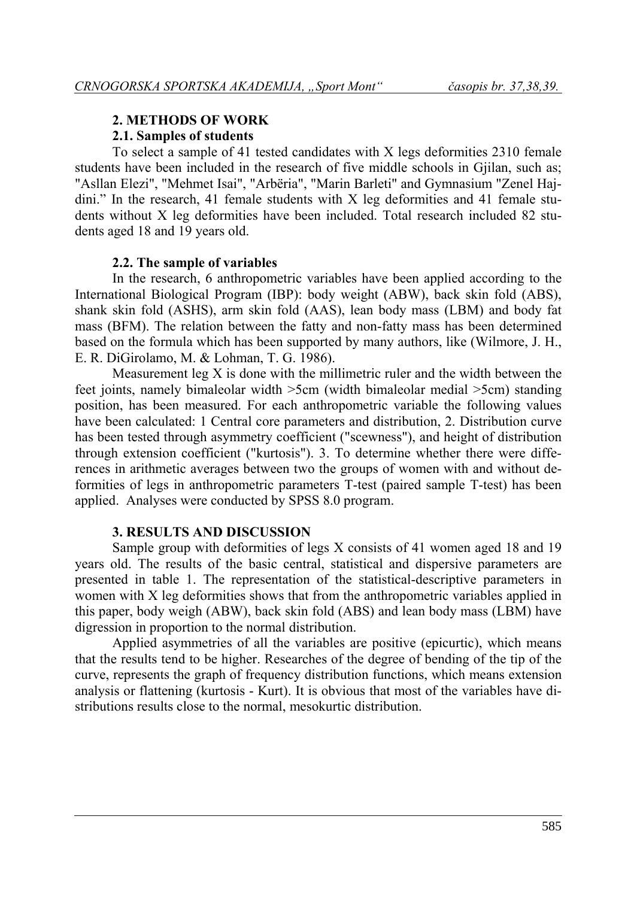# **2. METHODS OF WORK**

## **2.1. Samples of students**

To select a sample of 41 tested candidates with X legs deformities 2310 female students have been included in the research of five middle schools in Gjilan, such as; "Asllan Elezi", "Mehmet Isai", "Arbëria", "Marin Barleti" and Gymnasium "Zenel Hajdini." In the research, 41 female students with X leg deformities and 41 female students without X leg deformities have been included. Total research included 82 students aged 18 and 19 years old.

## **2.2. The sample of variables**

In the research, 6 anthropometric variables have been applied according to the International Biological Program (IBP): body weight (ABW), back skin fold (ABS), shank skin fold (ASHS), arm skin fold (AAS), lean body mass (LBM) and body fat mass (BFM). The relation between the fatty and non-fatty mass has been determined based on the formula which has been supported by many authors, like (Wilmore, J. H., E. R. DiGirolamo, M. & Lohman, T. G. 1986).

Measurement leg X is done with the millimetric ruler and the width between the feet joints, namely bimaleolar width >5cm (width bimaleolar medial >5cm) standing position, has been measured. For each anthropometric variable the following values have been calculated: 1 Central core parameters and distribution, 2. Distribution curve has been tested through asymmetry coefficient ("scewness"), and height of distribution through extension coefficient ("kurtosis"). 3. To determine whether there were differences in arithmetic averages between two the groups of women with and without deformities of legs in anthropometric parameters T-test (paired sample T-test) has been applied. Analyses were conducted by SPSS 8.0 program.

#### **3. RESULTS AND DISCUSSION**

Sample group with deformities of legs X consists of 41 women aged 18 and 19 years old. The results of the basic central, statistical and dispersive parameters are presented in table 1. The representation of the statistical-descriptive parameters in women with X leg deformities shows that from the anthropometric variables applied in this paper, body weigh (ABW), back skin fold (ABS) and lean body mass (LBM) have digression in proportion to the normal distribution.

Applied asymmetries of all the variables are positive (epicurtic), which means that the results tend to be higher. Researches of the degree of bending of the tip of the curve, represents the graph of frequency distribution functions, which means extension analysis or flattening (kurtosis - Kurt). It is obvious that most of the variables have distributions results close to the normal, mesokurtic distribution.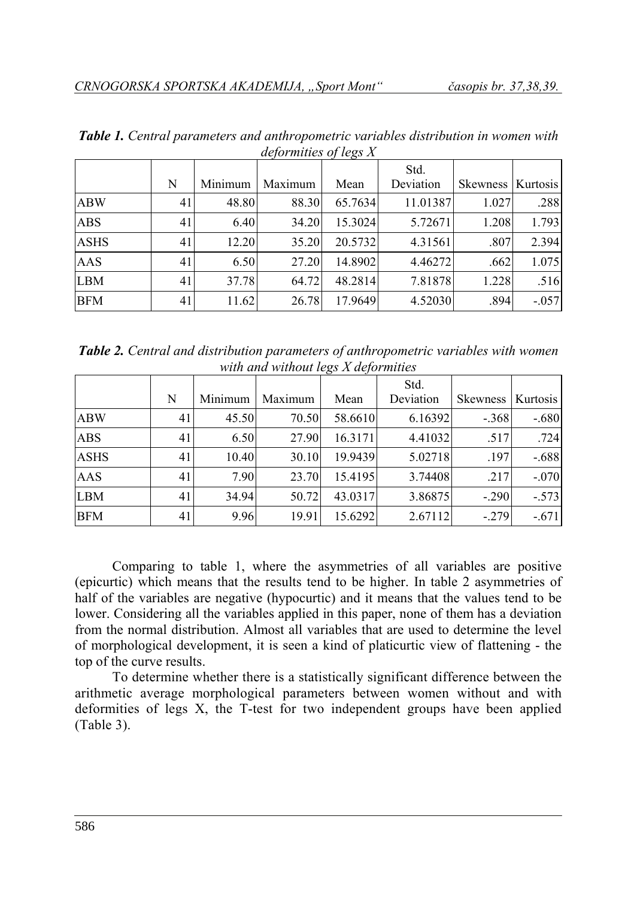| $uc$ , $\frac{1}{2}$ , $\frac{1}{2}$ , $\frac{1}{2}$ , $\frac{1}{2}$ , $\frac{1}{2}$ |    |         |         |         |           |                     |         |  |
|--------------------------------------------------------------------------------------|----|---------|---------|---------|-----------|---------------------|---------|--|
|                                                                                      |    |         |         |         | Std.      |                     |         |  |
|                                                                                      | N  | Minimum | Maximum | Mean    | Deviation | Skewness   Kurtosis |         |  |
| <b>ABW</b>                                                                           | 41 | 48.80   | 88.30   | 65.7634 | 11.01387  | 1.027               | .288    |  |
| <b>ABS</b>                                                                           | 41 | 6.40    | 34.20   | 15.3024 | 5.72671   | 1.208               | 1.793   |  |
| <b>ASHS</b>                                                                          | 41 | 12.20   | 35.20   | 20.5732 | 4.31561   | .807                | 2.394   |  |
| <b>AAS</b>                                                                           | 41 | 6.50    | 27.20   | 14.8902 | 4.46272   | .662                | 1.075   |  |
| <b>LBM</b>                                                                           | 41 | 37.78   | 64.72   | 48.2814 | 7.81878   | 1.228               | .516    |  |
| <b>BFM</b>                                                                           | 41 | 11.62   | 26.78   | 17.9649 | 4.52030   | .894                | $-.057$ |  |

*Table 1. Central parameters and anthropometric variables distribution in women with deformities of legs X*

*Table 2. Central and distribution parameters of anthropometric variables with women with and without legs X deformities*

|             |    |         |         |         | Std.      |                 |          |
|-------------|----|---------|---------|---------|-----------|-----------------|----------|
|             | N  | Minimum | Maximum | Mean    | Deviation | <b>Skewness</b> | Kurtosis |
| <b>ABW</b>  | 41 | 45.50   | 70.50   | 58.6610 | 6.16392   | $-.368$         | $-.680$  |
| <b>ABS</b>  | 41 | 6.50    | 27.90   | 16.3171 | 4.41032   | .517            | .724     |
| <b>ASHS</b> | 41 | 10.40   | 30.10   | 19.9439 | 5.02718   | .197            | $-.688$  |
| AAS         | 41 | 7.90    | 23.70   | 15.4195 | 3.74408   | .217            | $-.070$  |
| <b>LBM</b>  | 41 | 34.94   | 50.72   | 43.0317 | 3.86875   | $-.290$         | $-.573$  |
| <b>BFM</b>  | 41 | 9.96    | 19.91   | 15.6292 | 2.67112   | $-.279$         | $-.671$  |

Comparing to table 1, where the asymmetries of all variables are positive (epicurtic) which means that the results tend to be higher. In table 2 asymmetries of half of the variables are negative (hypocurtic) and it means that the values tend to be lower. Considering all the variables applied in this paper, none of them has a deviation from the normal distribution. Almost all variables that are used to determine the level of morphological development, it is seen a kind of platicurtic view of flattening - the top of the curve results.

To determine whether there is a statistically significant difference between the arithmetic average morphological parameters between women without and with deformities of legs X, the T-test for two independent groups have been applied (Table 3).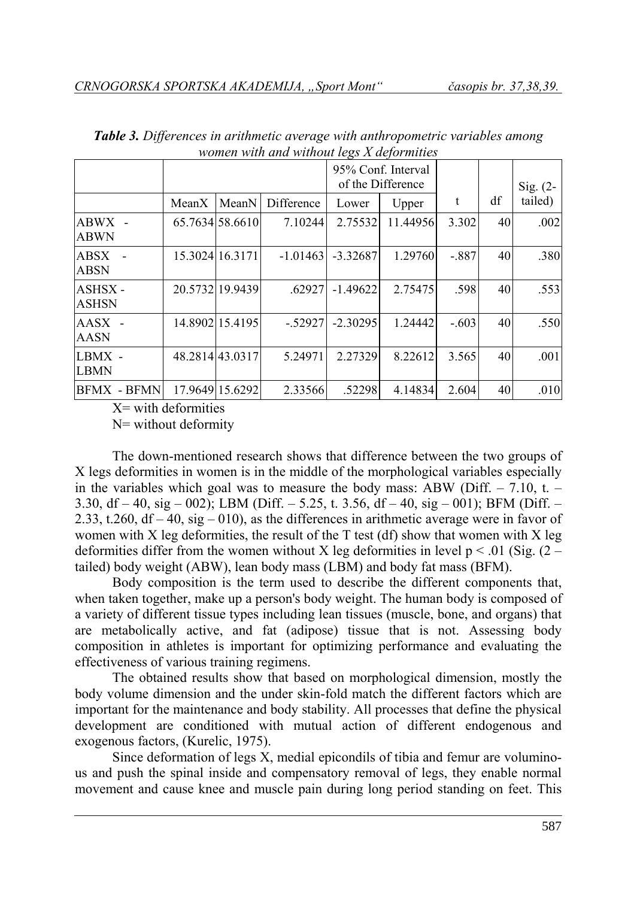| women with and without legs A acjointities |       |                 |            |                                         |          |         |    |            |
|--------------------------------------------|-------|-----------------|------------|-----------------------------------------|----------|---------|----|------------|
|                                            |       |                 |            | 95% Conf. Interval<br>of the Difference |          |         |    | $Sig. (2-$ |
|                                            | MeanX | MeanN           | Difference | Lower                                   | Upper    | t       | df | tailed)    |
| $ABWX -$<br><b>ABWN</b>                    |       | 65.7634 58.6610 | 7.10244    | 2.75532                                 | 11.44956 | 3.302   | 40 | .002       |
| ABSX<br><b>ABSN</b>                        |       | 15.3024 16.3171 | $-1.01463$ | $-3.32687$                              | 1.29760  | $-.887$ | 40 | .380       |
| ASHSX-<br><b>ASHSN</b>                     |       | 20.5732 19.9439 | .62927     | $-1.49622$                              | 2.75475  | .598    | 40 | .553       |
| $AASX -$<br><b>AASN</b>                    |       | 14.8902 15.4195 | $-.52927$  | $-2.30295$                              | 1.24442  | $-.603$ | 40 | .550       |
| LBMX -<br>LBMN                             |       | 48.2814 43.0317 | 5.24971    | 2.27329                                 | 8.22612  | 3.565   | 40 | .001       |
| BFMX - BFMN                                |       | 17.9649 15.6292 | 2.33566    | .522981                                 | 4.14834  | 2.604   | 40 | .010       |

*Table 3. Differences in arithmetic average with anthropometric variables among women with and without legs X deformities*

 $X=$  with deformities

N= without deformity

The down-mentioned research shows that difference between the two groups of X legs deformities in women is in the middle of the morphological variables especially in the variables which goal was to measure the body mass: ABW (Diff.  $- 7.10$ , t.  $-$ 3.30, df – 40, sig – 002); LBM (Diff. – 5.25, t. 3.56, df – 40, sig – 001); BFM (Diff. – 2.33, t.260,  $df - 40$ ,  $sig - 010$ ), as the differences in arithmetic average were in favor of women with X leg deformities, the result of the  $T$  test (df) show that women with X leg deformities differ from the women without X leg deformities in level  $p < .01$  (Sig. (2 – tailed) body weight (ABW), lean body mass (LBM) and body fat mass (BFM).

Body composition is the term used to describe the different components that, when taken together, make up a person's body weight. The human body is composed of a variety of different tissue types including lean tissues (muscle, bone, and organs) that are metabolically active, and fat (adipose) tissue that is not. Assessing body composition in athletes is important for optimizing performance and evaluating the effectiveness of various training regimens.

The obtained results show that based on morphological dimension, mostly the body volume dimension and the under skin-fold match the different factors which are important for the maintenance and body stability. All processes that define the physical development are conditioned with mutual action of different endogenous and exogenous factors, (Kurelic, 1975).

Since deformation of legs X, medial epicondils of tibia and femur are voluminous and push the spinal inside and compensatory removal of legs, they enable normal movement and cause knee and muscle pain during long period standing on feet. This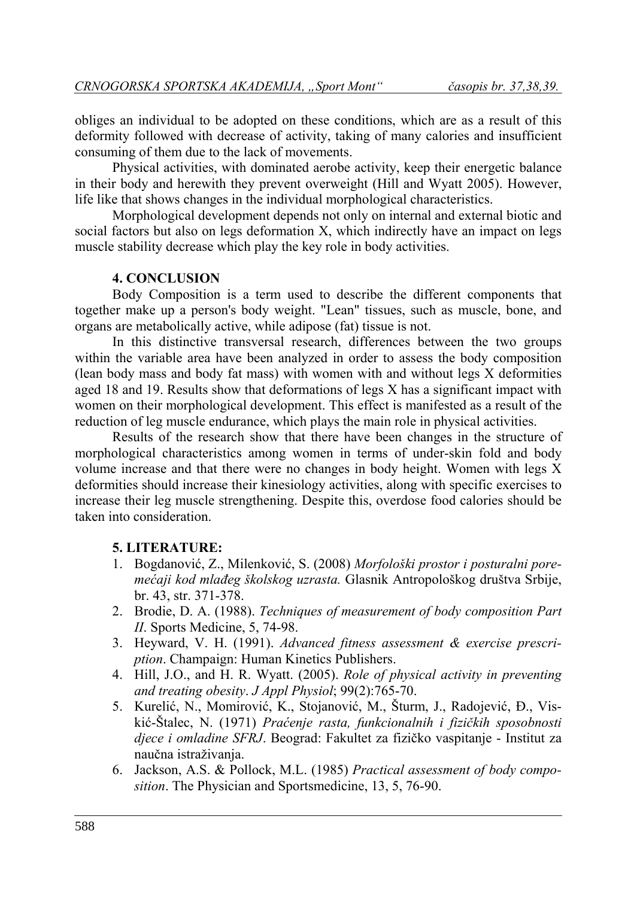obliges an individual to be adopted on these conditions, which are as a result of this deformity followed with decrease of activity, taking of many calories and insufficient consuming of them due to the lack of movements.

Physical activities, with dominated aerobe activity, keep their energetic balance in their body and herewith they prevent overweight (Hill and Wyatt 2005). However, life like that shows changes in the individual morphological characteristics.

Morphological development depends not only on internal and external biotic and social factors but also on legs deformation X, which indirectly have an impact on legs muscle stability decrease which play the key role in body activities.

## **4. CONCLUSION**

Body Composition is a term used to describe the different components that together make up a person's body weight. "Lean" tissues, such as muscle, bone, and organs are metabolically active, while adipose (fat) tissue is not.

In this distinctive transversal research, differences between the two groups within the variable area have been analyzed in order to assess the body composition (lean body mass and body fat mass) with women with and without legs X deformities aged 18 and 19. Results show that deformations of legs X has a significant impact with women on their morphological development. This effect is manifested as a result of the reduction of leg muscle endurance, which plays the main role in physical activities.

Results of the research show that there have been changes in the structure of morphological characteristics among women in terms of under-skin fold and body volume increase and that there were no changes in body height. Women with legs X deformities should increase their kinesiology activities, along with specific exercises to increase their leg muscle strengthening. Despite this, overdose food calories should be taken into consideration.

#### **5. LITERATURE:**

- 1. Bogdanović, Z., Milenković, S. (2008) *Morfološki prostor i posturalni poremećaji kod mlađeg školskog uzrasta.* Glasnik Antropološkog društva Srbije, br. 43, str. 371-378.
- 2. Brodie, D. A. (1988). *Techniques of measurement of body composition Part II*. Sports Medicine, 5, 74-98.
- 3. Heyward, V. H. (1991). *Advanced fitness assessment & exercise prescription*. Champaign: Human Kinetics Publishers.
- 4. Hill, J.O., and H. R. Wyatt. (2005). *Role of physical activity in preventing and treating obesity*. *J Appl Physiol*; 99(2):765-70.
- 5. Kurelić, N., Momirović, K., Stojanović, M., Šturm, J., Radojević, Đ., Viskić-Štalec, N. (1971) *Praćenje rasta, funkcionalnih i fizičkih sposobnosti djece i omladine SFRJ*. Beograd: Fakultet za fizičko vaspitanje - Institut za naučna istraživanja.
- 6. Jackson, A.S. & Pollock, M.L. (1985) *Practical assessment of body composition*. The Physician and Sportsmedicine, 13, 5, 76-90.